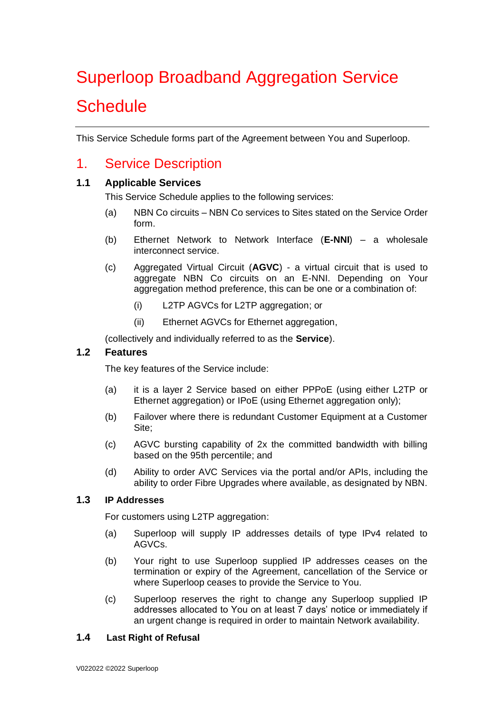# Superloop Broadband Aggregation Service **Schedule**

This Service Schedule forms part of the Agreement between You and Superloop.

# 1. Service Description

#### **1.1 Applicable Services**

This Service Schedule applies to the following services:

- (a) NBN Co circuits NBN Co services to Sites stated on the Service Order form.
- (b) Ethernet Network to Network Interface (**E-NNI**) a wholesale interconnect service.
- (c) Aggregated Virtual Circuit (**AGVC**) a virtual circuit that is used to aggregate NBN Co circuits on an E-NNI. Depending on Your aggregation method preference, this can be one or a combination of:
	- (i) L2TP AGVCs for L2TP aggregation; or
	- (ii) Ethernet AGVCs for Ethernet aggregation,

(collectively and individually referred to as the **Service**).

#### **1.2 Features**

The key features of the Service include:

- (a) it is a layer 2 Service based on either PPPoE (using either L2TP or Ethernet aggregation) or IPoE (using Ethernet aggregation only);
- (b) Failover where there is redundant Customer Equipment at a Customer Site;
- (c) AGVC bursting capability of 2x the committed bandwidth with billing based on the 95th percentile; and
- (d) Ability to order AVC Services via the portal and/or APIs, including the ability to order Fibre Upgrades where available, as designated by NBN.

#### **1.3 IP Addresses**

For customers using L2TP aggregation:

- (a) Superloop will supply IP addresses details of type IPv4 related to AGVCs.
- (b) Your right to use Superloop supplied IP addresses ceases on the termination or expiry of the Agreement, cancellation of the Service or where Superloop ceases to provide the Service to You.
- (c) Superloop reserves the right to change any Superloop supplied IP addresses allocated to You on at least 7 days' notice or immediately if an urgent change is required in order to maintain Network availability.

#### **1.4 Last Right of Refusal**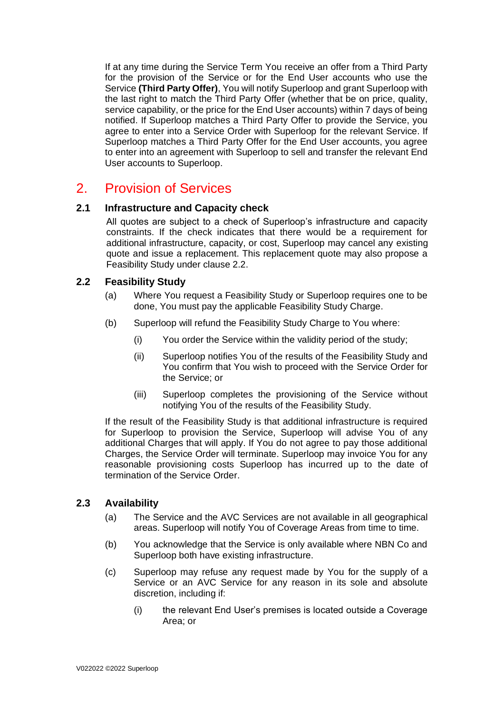If at any time during the Service Term You receive an offer from a Third Party for the provision of the Service or for the End User accounts who use the Service **(Third Party Offer)**, You will notify Superloop and grant Superloop with the last right to match the Third Party Offer (whether that be on price, quality, service capability, or the price for the End User accounts) within 7 days of being notified. If Superloop matches a Third Party Offer to provide the Service, you agree to enter into a Service Order with Superloop for the relevant Service. If Superloop matches a Third Party Offer for the End User accounts, you agree to enter into an agreement with Superloop to sell and transfer the relevant End User accounts to Superloop.

# 2. Provision of Services

#### **2.1 Infrastructure and Capacity check**

All quotes are subject to a check of Superloop's infrastructure and capacity constraints. If the check indicates that there would be a requirement for additional infrastructure, capacity, or cost, Superloop may cancel any existing quote and issue a replacement. This replacement quote may also propose a Feasibility Study under clause 2.2.

#### **2.2 Feasibility Study**

- (a) Where You request a Feasibility Study or Superloop requires one to be done, You must pay the applicable Feasibility Study Charge.
- (b) Superloop will refund the Feasibility Study Charge to You where:
	- (i) You order the Service within the validity period of the study;
	- (ii) Superloop notifies You of the results of the Feasibility Study and You confirm that You wish to proceed with the Service Order for the Service; or
	- (iii) Superloop completes the provisioning of the Service without notifying You of the results of the Feasibility Study.

If the result of the Feasibility Study is that additional infrastructure is required for Superloop to provision the Service, Superloop will advise You of any additional Charges that will apply. If You do not agree to pay those additional Charges, the Service Order will terminate. Superloop may invoice You for any reasonable provisioning costs Superloop has incurred up to the date of termination of the Service Order.

#### **2.3 Availability**

- (a) The Service and the AVC Services are not available in all geographical areas. Superloop will notify You of Coverage Areas from time to time.
- (b) You acknowledge that the Service is only available where NBN Co and Superloop both have existing infrastructure.
- (c) Superloop may refuse any request made by You for the supply of a Service or an AVC Service for any reason in its sole and absolute discretion, including if:
	- (i) the relevant End User's premises is located outside a Coverage Area; or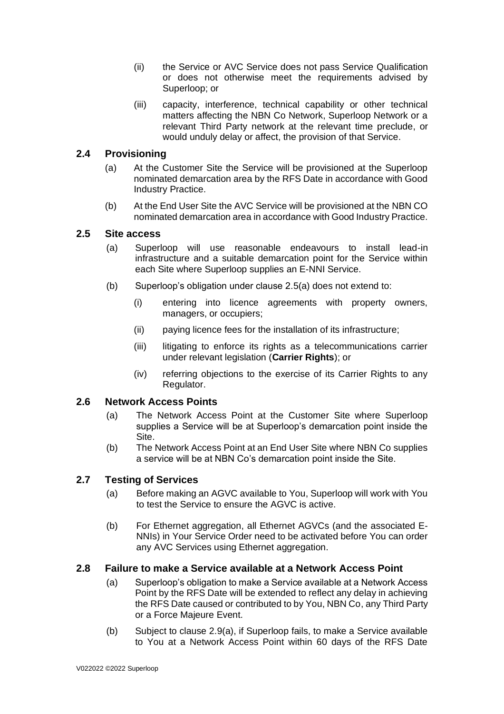- (ii) the Service or AVC Service does not pass Service Qualification or does not otherwise meet the requirements advised by Superloop; or
- (iii) capacity, interference, technical capability or other technical matters affecting the NBN Co Network, Superloop Network or a relevant Third Party network at the relevant time preclude, or would unduly delay or affect, the provision of that Service.

#### **2.4 Provisioning**

- (a) At the Customer Site the Service will be provisioned at the Superloop nominated demarcation area by the RFS Date in accordance with Good Industry Practice.
- (b) At the End User Site the AVC Service will be provisioned at the NBN CO nominated demarcation area in accordance with Good Industry Practice.

#### **2.5 Site access**

- (a) Superloop will use reasonable endeavours to install lead-in infrastructure and a suitable demarcation point for the Service within each Site where Superloop supplies an E-NNI Service.
- (b) Superloop's obligation under clause 2.5(a) does not extend to:
	- (i) entering into licence agreements with property owners, managers, or occupiers;
	- (ii) paying licence fees for the installation of its infrastructure;
	- (iii) litigating to enforce its rights as a telecommunications carrier under relevant legislation (**Carrier Rights**); or
	- (iv) referring objections to the exercise of its Carrier Rights to any Regulator.

#### **2.6 Network Access Points**

- (a) The Network Access Point at the Customer Site where Superloop supplies a Service will be at Superloop's demarcation point inside the Site.
- (b) The Network Access Point at an End User Site where NBN Co supplies a service will be at NBN Co's demarcation point inside the Site.

#### **2.7 Testing of Services**

- (a) Before making an AGVC available to You, Superloop will work with You to test the Service to ensure the AGVC is active.
- (b) For Ethernet aggregation, all Ethernet AGVCs (and the associated E-NNIs) in Your Service Order need to be activated before You can order any AVC Services using Ethernet aggregation.

#### **2.8 Failure to make a Service available at a Network Access Point**

- (a) Superloop's obligation to make a Service available at a Network Access Point by the RFS Date will be extended to reflect any delay in achieving the RFS Date caused or contributed to by You, NBN Co, any Third Party or a Force Majeure Event.
- (b) Subject to clause 2.9(a), if Superloop fails, to make a Service available to You at a Network Access Point within 60 days of the RFS Date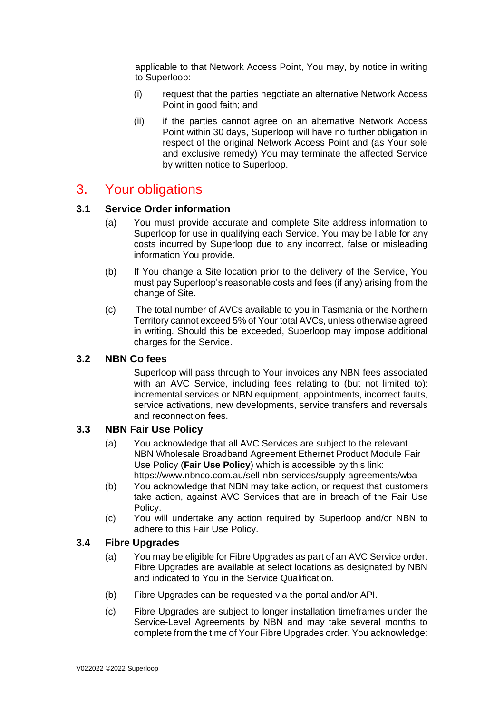applicable to that Network Access Point, You may, by notice in writing to Superloop:

- (i) request that the parties negotiate an alternative Network Access Point in good faith; and
- (ii) if the parties cannot agree on an alternative Network Access Point within 30 days, Superloop will have no further obligation in respect of the original Network Access Point and (as Your sole and exclusive remedy) You may terminate the affected Service by written notice to Superloop.

## 3. Your obligations

#### **3.1 Service Order information**

- (a) You must provide accurate and complete Site address information to Superloop for use in qualifying each Service. You may be liable for any costs incurred by Superloop due to any incorrect, false or misleading information You provide.
- (b) If You change a Site location prior to the delivery of the Service, You must pay Superloop's reasonable costs and fees (if any) arising from the change of Site.
- (c) The total number of AVCs available to you in Tasmania or the Northern Territory cannot exceed 5% of Your total AVCs, unless otherwise agreed in writing. Should this be exceeded, Superloop may impose additional charges for the Service.

#### **3.2 NBN Co fees**

Superloop will pass through to Your invoices any NBN fees associated with an AVC Service, including fees relating to (but not limited to): incremental services or NBN equipment, appointments, incorrect faults, service activations, new developments, service transfers and reversals and reconnection fees.

#### **3.3 NBN Fair Use Policy**

- (a) You acknowledge that all AVC Services are subject to the relevant NBN Wholesale Broadband Agreement Ethernet Product Module Fair Use Policy (**Fair Use Policy**) which is accessible by this link: https://www.nbnco.com.au/sell-nbn-services/supply-agreements/wba
- (b) You acknowledge that NBN may take action, or request that customers take action, against AVC Services that are in breach of the Fair Use Policy.
- (c) You will undertake any action required by Superloop and/or NBN to adhere to this Fair Use Policy.

#### **3.4 Fibre Upgrades**

- (a) You may be eligible for Fibre Upgrades as part of an AVC Service order. Fibre Upgrades are available at select locations as designated by NBN and indicated to You in the Service Qualification.
- (b) Fibre Upgrades can be requested via the portal and/or API.
- (c) Fibre Upgrades are subject to longer installation timeframes under the Service-Level Agreements by NBN and may take several months to complete from the time of Your Fibre Upgrades order. You acknowledge: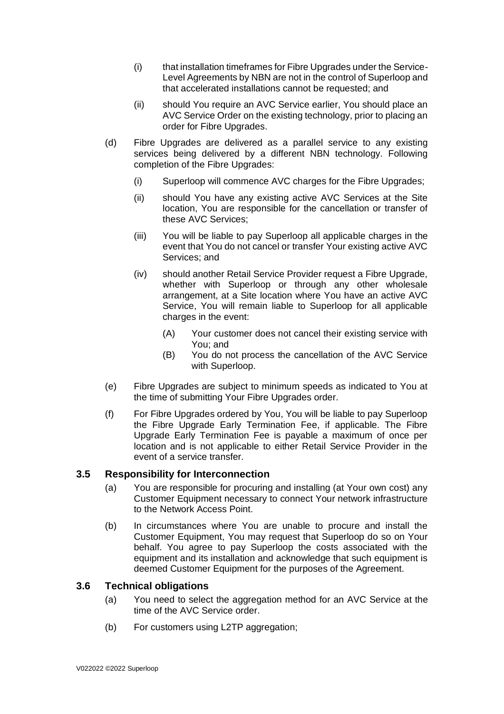- (i) that installation timeframes for Fibre Upgrades under the Service-Level Agreements by NBN are not in the control of Superloop and that accelerated installations cannot be requested; and
- (ii) should You require an AVC Service earlier, You should place an AVC Service Order on the existing technology, prior to placing an order for Fibre Upgrades.
- (d) Fibre Upgrades are delivered as a parallel service to any existing services being delivered by a different NBN technology. Following completion of the Fibre Upgrades:
	- (i) Superloop will commence AVC charges for the Fibre Upgrades;
	- (ii) should You have any existing active AVC Services at the Site location, You are responsible for the cancellation or transfer of these AVC Services;
	- (iii) You will be liable to pay Superloop all applicable charges in the event that You do not cancel or transfer Your existing active AVC Services; and
	- (iv) should another Retail Service Provider request a Fibre Upgrade, whether with Superloop or through any other wholesale arrangement, at a Site location where You have an active AVC Service, You will remain liable to Superloop for all applicable charges in the event:
		- (A) Your customer does not cancel their existing service with You; and
		- (B) You do not process the cancellation of the AVC Service with Superloop.
- (e) Fibre Upgrades are subject to minimum speeds as indicated to You at the time of submitting Your Fibre Upgrades order.
- (f) For Fibre Upgrades ordered by You, You will be liable to pay Superloop the Fibre Upgrade Early Termination Fee, if applicable. The Fibre Upgrade Early Termination Fee is payable a maximum of once per location and is not applicable to either Retail Service Provider in the event of a service transfer.

#### **3.5 Responsibility for Interconnection**

- (a) You are responsible for procuring and installing (at Your own cost) any Customer Equipment necessary to connect Your network infrastructure to the Network Access Point.
- (b) In circumstances where You are unable to procure and install the Customer Equipment, You may request that Superloop do so on Your behalf. You agree to pay Superloop the costs associated with the equipment and its installation and acknowledge that such equipment is deemed Customer Equipment for the purposes of the Agreement.

#### **3.6 Technical obligations**

- (a) You need to select the aggregation method for an AVC Service at the time of the AVC Service order.
- (b) For customers using L2TP aggregation;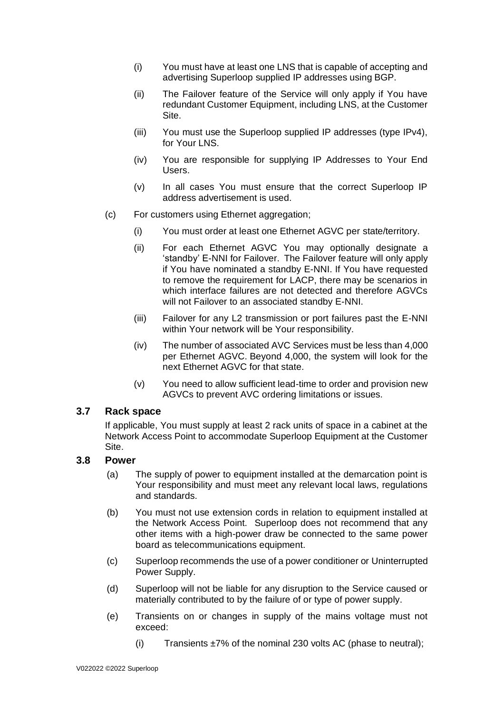- (i) You must have at least one LNS that is capable of accepting and advertising Superloop supplied IP addresses using BGP.
- (ii) The Failover feature of the Service will only apply if You have redundant Customer Equipment, including LNS, at the Customer Site.
- (iii) You must use the Superloop supplied IP addresses (type IPv4), for Your LNS.
- (iv) You are responsible for supplying IP Addresses to Your End Users.
- (v) In all cases You must ensure that the correct Superloop IP address advertisement is used.
- (c) For customers using Ethernet aggregation;
	- (i) You must order at least one Ethernet AGVC per state/territory.
	- (ii) For each Ethernet AGVC You may optionally designate a 'standby' E-NNI for Failover. The Failover feature will only apply if You have nominated a standby E-NNI. If You have requested to remove the requirement for LACP, there may be scenarios in which interface failures are not detected and therefore AGVCs will not Failover to an associated standby E-NNI.
	- (iii) Failover for any L2 transmission or port failures past the E-NNI within Your network will be Your responsibility.
	- (iv) The number of associated AVC Services must be less than 4,000 per Ethernet AGVC. Beyond 4,000, the system will look for the next Ethernet AGVC for that state.
	- (v) You need to allow sufficient lead-time to order and provision new AGVCs to prevent AVC ordering limitations or issues.

#### **3.7 Rack space**

If applicable, You must supply at least 2 rack units of space in a cabinet at the Network Access Point to accommodate Superloop Equipment at the Customer Site.

#### **3.8 Power**

- (a) The supply of power to equipment installed at the demarcation point is Your responsibility and must meet any relevant local laws, regulations and standards.
- (b) You must not use extension cords in relation to equipment installed at the Network Access Point. Superloop does not recommend that any other items with a high-power draw be connected to the same power board as telecommunications equipment.
- (c) Superloop recommends the use of a power conditioner or Uninterrupted Power Supply.
- (d) Superloop will not be liable for any disruption to the Service caused or materially contributed to by the failure of or type of power supply.
- (e) Transients on or changes in supply of the mains voltage must not exceed:
	- (i) Transients  $\pm 7\%$  of the nominal 230 volts AC (phase to neutral);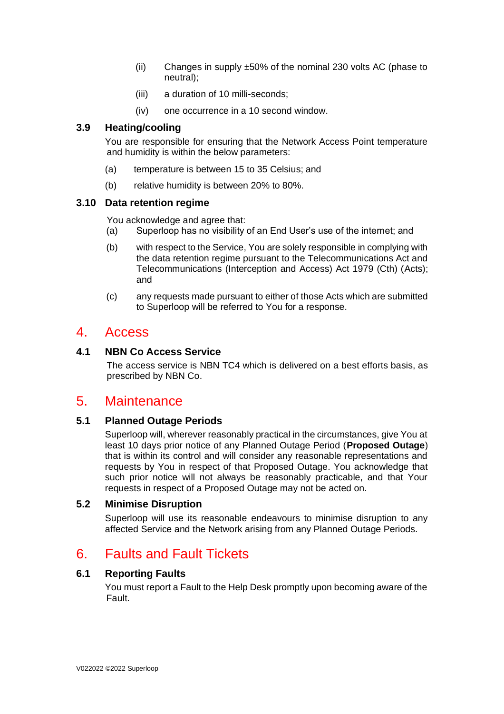- (ii) Changes in supply ±50% of the nominal 230 volts AC (phase to neutral);
- (iii) a duration of 10 milli-seconds;
- (iv) one occurrence in a 10 second window.

#### **3.9 Heating/cooling**

You are responsible for ensuring that the Network Access Point temperature and humidity is within the below parameters:

- (a) temperature is between 15 to 35 Celsius; and
- (b) relative humidity is between 20% to 80%.

#### **3.10 Data retention regime**

You acknowledge and agree that:

- (a) Superloop has no visibility of an End User's use of the internet; and
- (b) with respect to the Service, You are solely responsible in complying with the data retention regime pursuant to the Telecommunications Act and Telecommunications (Interception and Access) Act 1979 (Cth) (Acts); and
- (c) any requests made pursuant to either of those Acts which are submitted to Superloop will be referred to You for a response.

### 4. Access

#### **4.1 NBN Co Access Service**

The access service is NBN TC4 which is delivered on a best efforts basis, as prescribed by NBN Co.

## 5. Maintenance

#### **5.1 Planned Outage Periods**

Superloop will, wherever reasonably practical in the circumstances, give You at least 10 days prior notice of any Planned Outage Period (**Proposed Outage**) that is within its control and will consider any reasonable representations and requests by You in respect of that Proposed Outage. You acknowledge that such prior notice will not always be reasonably practicable, and that Your requests in respect of a Proposed Outage may not be acted on.

#### **5.2 Minimise Disruption**

Superloop will use its reasonable endeavours to minimise disruption to any affected Service and the Network arising from any Planned Outage Periods.

## 6. Faults and Fault Tickets

#### **6.1 Reporting Faults**

You must report a Fault to the Help Desk promptly upon becoming aware of the Fault.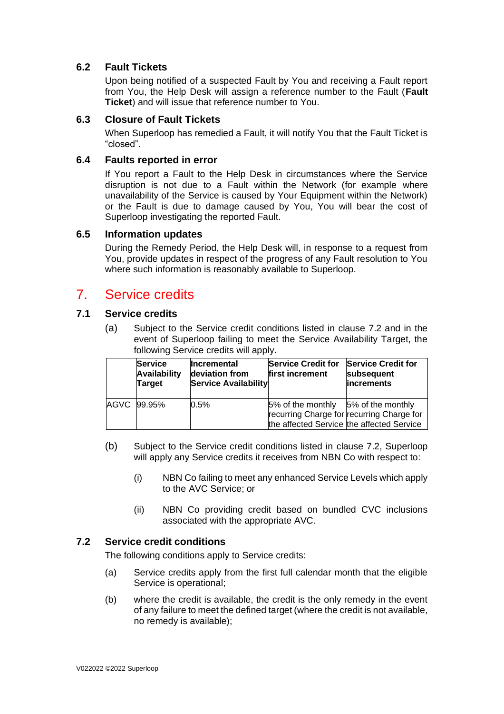#### **6.2 Fault Tickets**

Upon being notified of a suspected Fault by You and receiving a Fault report from You, the Help Desk will assign a reference number to the Fault (**Fault Ticket**) and will issue that reference number to You.

#### **6.3 Closure of Fault Tickets**

When Superloop has remedied a Fault, it will notify You that the Fault Ticket is "closed".

#### **6.4 Faults reported in error**

If You report a Fault to the Help Desk in circumstances where the Service disruption is not due to a Fault within the Network (for example where unavailability of the Service is caused by Your Equipment within the Network) or the Fault is due to damage caused by You, You will bear the cost of Superloop investigating the reported Fault.

#### **6.5 Information updates**

During the Remedy Period, the Help Desk will, in response to a request from You, provide updates in respect of the progress of any Fault resolution to You where such information is reasonably available to Superloop.

## 7. Service credits

#### **7.1 Service credits**

(a) Subject to the Service credit conditions listed in clause 7.2 and in the event of Superloop failing to meet the Service Availability Target, the following Service credits will apply.

| <b>Service</b><br><b>Availability</b><br><b>Target</b> | <b>Incremental</b><br>deviation from<br><b>Service Availability</b> | <b>Service Credit for</b><br>first increment                                                                                  | <b>Service Credit for</b><br>subsequent<br><i>increments</i> |
|--------------------------------------------------------|---------------------------------------------------------------------|-------------------------------------------------------------------------------------------------------------------------------|--------------------------------------------------------------|
| AGVC 99.95%                                            | $0.5\%$                                                             | 5% of the monthly 5% of the monthly<br>recurring Charge for recurring Charge for<br>the affected Service the affected Service |                                                              |

- (b) Subject to the Service credit conditions listed in clause 7.2, Superloop will apply any Service credits it receives from NBN Co with respect to:
	- (i) NBN Co failing to meet any enhanced Service Levels which apply to the AVC Service; or
	- (ii) NBN Co providing credit based on bundled CVC inclusions associated with the appropriate AVC.

#### **7.2 Service credit conditions**

The following conditions apply to Service credits:

- (a) Service credits apply from the first full calendar month that the eligible Service is operational;
- (b) where the credit is available, the credit is the only remedy in the event of any failure to meet the defined target (where the credit is not available, no remedy is available);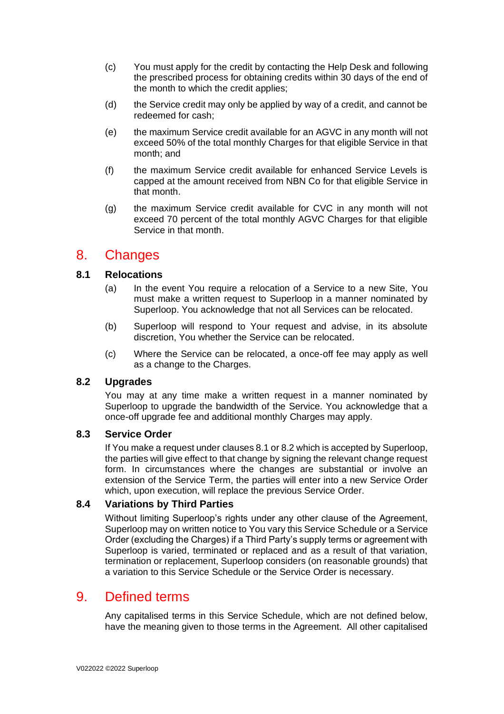- (c) You must apply for the credit by contacting the Help Desk and following the prescribed process for obtaining credits within 30 days of the end of the month to which the credit applies;
- (d) the Service credit may only be applied by way of a credit, and cannot be redeemed for cash;
- (e) the maximum Service credit available for an AGVC in any month will not exceed 50% of the total monthly Charges for that eligible Service in that month; and
- (f) the maximum Service credit available for enhanced Service Levels is capped at the amount received from NBN Co for that eligible Service in that month.
- (g) the maximum Service credit available for CVC in any month will not exceed 70 percent of the total monthly AGVC Charges for that eligible Service in that month.

## 8. Changes

#### **8.1 Relocations**

- (a) In the event You require a relocation of a Service to a new Site, You must make a written request to Superloop in a manner nominated by Superloop. You acknowledge that not all Services can be relocated.
- (b) Superloop will respond to Your request and advise, in its absolute discretion, You whether the Service can be relocated.
- (c) Where the Service can be relocated, a once-off fee may apply as well as a change to the Charges.

#### **8.2 Upgrades**

You may at any time make a written request in a manner nominated by Superloop to upgrade the bandwidth of the Service. You acknowledge that a once-off upgrade fee and additional monthly Charges may apply.

#### **8.3 Service Order**

If You make a request under clauses 8.1 or 8.2 which is accepted by Superloop, the parties will give effect to that change by signing the relevant change request form. In circumstances where the changes are substantial or involve an extension of the Service Term, the parties will enter into a new Service Order which, upon execution, will replace the previous Service Order.

#### **8.4 Variations by Third Parties**

Without limiting Superloop's rights under any other clause of the Agreement, Superloop may on written notice to You vary this Service Schedule or a Service Order (excluding the Charges) if a Third Party's supply terms or agreement with Superloop is varied, terminated or replaced and as a result of that variation, termination or replacement, Superloop considers (on reasonable grounds) that a variation to this Service Schedule or the Service Order is necessary.

## 9. Defined terms

Any capitalised terms in this Service Schedule, which are not defined below, have the meaning given to those terms in the Agreement. All other capitalised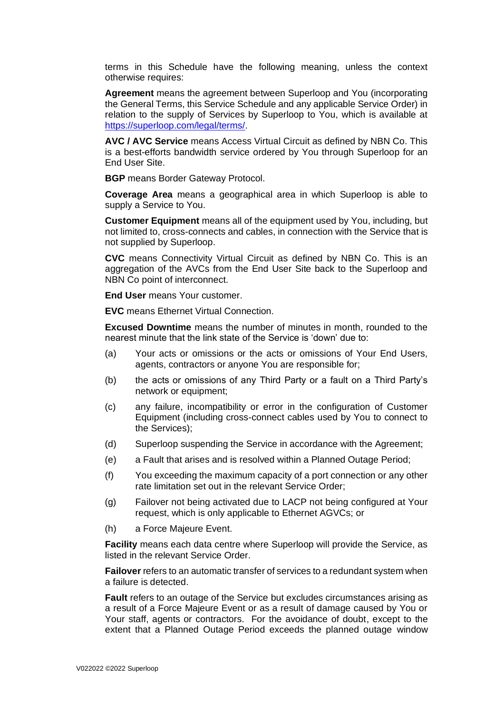terms in this Schedule have the following meaning, unless the context otherwise requires:

**Agreement** means the agreement between Superloop and You (incorporating the General Terms, this Service Schedule and any applicable Service Order) in relation to the supply of Services by Superloop to You, which is available at [https://superloop.com/legal/terms/.](https://superloop.com/legal/terms/)

**AVC / AVC Service** means Access Virtual Circuit as defined by NBN Co. This is a best-efforts bandwidth service ordered by You through Superloop for an End User Site.

**BGP** means Border Gateway Protocol.

**Coverage Area** means a geographical area in which Superloop is able to supply a Service to You.

**Customer Equipment** means all of the equipment used by You, including, but not limited to, cross-connects and cables, in connection with the Service that is not supplied by Superloop.

**CVC** means Connectivity Virtual Circuit as defined by NBN Co. This is an aggregation of the AVCs from the End User Site back to the Superloop and NBN Co point of interconnect.

**End User** means Your customer.

**EVC** means Ethernet Virtual Connection.

**Excused Downtime** means the number of minutes in month, rounded to the nearest minute that the link state of the Service is 'down' due to:

- (a) Your acts or omissions or the acts or omissions of Your End Users, agents, contractors or anyone You are responsible for;
- (b) the acts or omissions of any Third Party or a fault on a Third Party's network or equipment;
- (c) any failure, incompatibility or error in the configuration of Customer Equipment (including cross-connect cables used by You to connect to the Services);
- (d) Superloop suspending the Service in accordance with the Agreement;
- (e) a Fault that arises and is resolved within a Planned Outage Period;
- (f) You exceeding the maximum capacity of a port connection or any other rate limitation set out in the relevant Service Order;
- (g) Failover not being activated due to LACP not being configured at Your request, which is only applicable to Ethernet AGVCs; or
- (h) a Force Majeure Event.

**Facility** means each data centre where Superloop will provide the Service, as listed in the relevant Service Order.

**Failover** refers to an automatic transfer of services to a redundant system when a failure is detected.

**Fault** refers to an outage of the Service but excludes circumstances arising as a result of a Force Majeure Event or as a result of damage caused by You or Your staff, agents or contractors. For the avoidance of doubt, except to the extent that a Planned Outage Period exceeds the planned outage window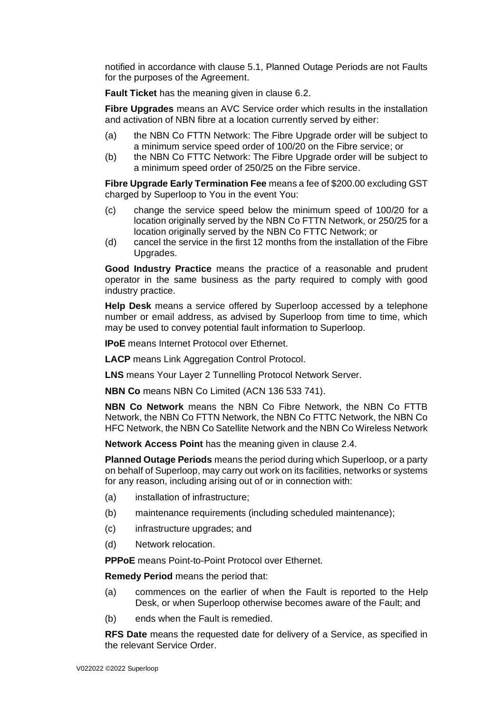notified in accordance with clause 5.1, Planned Outage Periods are not Faults for the purposes of the Agreement.

**Fault Ticket** has the meaning given in clause 6.2.

**Fibre Upgrades** means an AVC Service order which results in the installation and activation of NBN fibre at a location currently served by either:

- (a) the NBN Co FTTN Network: The Fibre Upgrade order will be subject to a minimum service speed order of 100/20 on the Fibre service; or
- (b) the NBN Co FTTC Network: The Fibre Upgrade order will be subject to a minimum speed order of 250/25 on the Fibre service.

**Fibre Upgrade Early Termination Fee** means a fee of \$200.00 excluding GST charged by Superloop to You in the event You:

- (c) change the service speed below the minimum speed of 100/20 for a location originally served by the NBN Co FTTN Network, or 250/25 for a location originally served by the NBN Co FTTC Network; or
- (d) cancel the service in the first 12 months from the installation of the Fibre Upgrades.

**Good Industry Practice** means the practice of a reasonable and prudent operator in the same business as the party required to comply with good industry practice.

**Help Desk** means a service offered by Superloop accessed by a telephone number or email address, as advised by Superloop from time to time, which may be used to convey potential fault information to Superloop.

**IPoE** means Internet Protocol over Ethernet.

**LACP** means Link Aggregation Control Protocol.

**LNS** means Your Layer 2 Tunnelling Protocol Network Server.

**NBN Co** means NBN Co Limited (ACN 136 533 741).

**NBN Co Network** means the NBN Co Fibre Network, the NBN Co FTTB Network, the NBN Co FTTN Network, the NBN Co FTTC Network, the NBN Co HFC Network, the NBN Co Satellite Network and the NBN Co Wireless Network

**Network Access Point** has the meaning given in clause 2.4.

**Planned Outage Periods** means the period during which Superloop, or a party on behalf of Superloop, may carry out work on its facilities, networks or systems for any reason, including arising out of or in connection with:

- (a) installation of infrastructure;
- (b) maintenance requirements (including scheduled maintenance);
- (c) infrastructure upgrades; and
- (d) Network relocation.

**PPPoE** means Point-to-Point Protocol over Ethernet.

**Remedy Period** means the period that:

- (a) commences on the earlier of when the Fault is reported to the Help Desk, or when Superloop otherwise becomes aware of the Fault; and
- (b) ends when the Fault is remedied.

**RFS Date** means the requested date for delivery of a Service, as specified in the relevant Service Order.